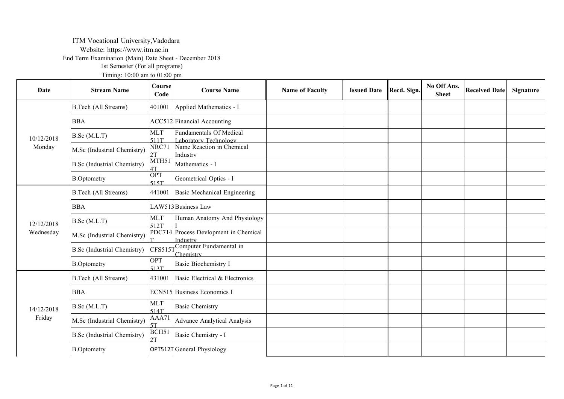# ITM Vocational University,Vadodara

Website: https://www.itm.ac.in

End Term Examination (Main) Date Sheet - December 2018

1st Semester (For all programs)

Timing: 10:00 am to 01:00 pm

| Date       | <b>Stream Name</b>                 | Course<br>Code          | <b>Course Name</b>                                | <b>Name of Faculty</b> | <b>Issued Date</b> | Recd. Sign. | No Off Ans.<br><b>Sheet</b> | <b>Received Date</b> | Signature |
|------------|------------------------------------|-------------------------|---------------------------------------------------|------------------------|--------------------|-------------|-----------------------------|----------------------|-----------|
|            | <b>B.Tech (All Streams)</b>        | 401001                  | Applied Mathematics - I                           |                        |                    |             |                             |                      |           |
|            | <b>BBA</b>                         |                         | ACC512 Financial Accounting                       |                        |                    |             |                             |                      |           |
| 10/12/2018 | B.Sc(M.L.T)                        | <b>MLT</b><br>511T      | Fundamentals Of Medical<br>Laboratory Technology  |                        |                    |             |                             |                      |           |
| Monday     | M.Sc (Industrial Chemistry)        | NRC71<br>2T             | Name Reaction in Chemical<br>Industry             |                        |                    |             |                             |                      |           |
|            | <b>B.Sc</b> (Industrial Chemistry) | MTH51<br>1T             | Mathematics - I                                   |                        |                    |             |                             |                      |           |
|            | <b>B.Optometry</b>                 | OPT<br>515T             | Geometrical Optics - I                            |                        |                    |             |                             |                      |           |
|            | <b>B.Tech (All Streams)</b>        | 441001                  | Basic Mechanical Engineering                      |                        |                    |             |                             |                      |           |
|            | <b>BBA</b>                         |                         | LAW513 Business Law                               |                        |                    |             |                             |                      |           |
| 12/12/2018 | B.Sc(M.L.T)                        | <b>MLT</b><br>512T      | Human Anatomy And Physiology                      |                        |                    |             |                             |                      |           |
| Wednesday  | M.Sc (Industrial Chemistry)        |                         | PDC714 Process Devlopment in Chemical<br>Industry |                        |                    |             |                             |                      |           |
|            | <b>B.Sc</b> (Industrial Chemistry) | <b>CFS5151</b>          | Computer Fundamental in<br>Chemistry              |                        |                    |             |                             |                      |           |
|            | <b>B.Optometry</b>                 | OPT<br>513T             | <b>Basic Biochemistry I</b>                       |                        |                    |             |                             |                      |           |
|            | <b>B.Tech (All Streams)</b>        | 431001                  | Basic Electrical & Electronics                    |                        |                    |             |                             |                      |           |
|            | <b>BBA</b>                         |                         | <b>ECN515</b> Business Economics I                |                        |                    |             |                             |                      |           |
| 14/12/2018 | B.Sc(M.L.T)                        | <b>MLT</b><br>514T      | <b>Basic Chemistry</b>                            |                        |                    |             |                             |                      |           |
| Friday     | M.Sc (Industrial Chemistry)        | AAA71<br>5T             | Advance Analytical Analysis                       |                        |                    |             |                             |                      |           |
|            | <b>B.Sc</b> (Industrial Chemistry) | BCH <sub>51</sub><br>2T | Basic Chemistry - I                               |                        |                    |             |                             |                      |           |
|            | <b>B.Optometry</b>                 |                         | OPT512TGeneral Physiology                         |                        |                    |             |                             |                      |           |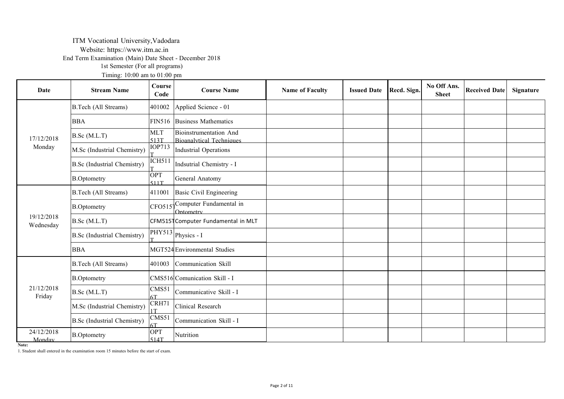## ITM Vocational University,Vadodara

Website: https://www.itm.ac.in

End Term Examination (Main) Date Sheet - December 2018

1st Semester (For all programs)

Timing: 10:00 am to 01:00 pm

| Date                    | <b>Stream Name</b>                 | Course<br>Code     | <b>Course Name</b>                                               | <b>Name of Faculty</b> | <b>Issued Date</b> | Recd. Sign. | No Off Ans.<br><b>Sheet</b> | <b>Received Date</b> | Signature |
|-------------------------|------------------------------------|--------------------|------------------------------------------------------------------|------------------------|--------------------|-------------|-----------------------------|----------------------|-----------|
|                         | <b>B.Tech (All Streams)</b>        | 401002             | Applied Science - 01                                             |                        |                    |             |                             |                      |           |
|                         | <b>BBA</b>                         |                    | FIN516 Business Mathematics                                      |                        |                    |             |                             |                      |           |
| 17/12/2018              | B.Sc(M.L.T)                        | <b>MLT</b><br>513T | <b>Bioinstrumentation And</b><br><b>Bioanalytical Techniques</b> |                        |                    |             |                             |                      |           |
| Monday                  | M.Sc (Industrial Chemistry)        | <b>IOP713</b>      | Industrial Operations                                            |                        |                    |             |                             |                      |           |
|                         | <b>B.Sc</b> (Industrial Chemistry) | <b>ICH511</b>      | Indsutrial Chemistry - I                                         |                        |                    |             |                             |                      |           |
|                         | <b>B.Optometry</b>                 | OPT<br>511T        | General Anatomy                                                  |                        |                    |             |                             |                      |           |
|                         | <b>B.Tech (All Streams)</b>        | 411001             | Basic Civil Engineering                                          |                        |                    |             |                             |                      |           |
|                         | <b>B.Optometry</b>                 |                    | CFO515 <sup>Computer</sup> Fundamental in<br>Optometry           |                        |                    |             |                             |                      |           |
| 19/12/2018<br>Wednesday | B.Sc(M.L.T)                        |                    | CFM5151 Computer Fundamental in MLT                              |                        |                    |             |                             |                      |           |
|                         | <b>B.Sc</b> (Industrial Chemistry) |                    | $\overline{\text{PHY513}}$ Physics - I                           |                        |                    |             |                             |                      |           |
|                         | <b>BBA</b>                         |                    | MGT524 Environmental Studies                                     |                        |                    |             |                             |                      |           |
|                         | <b>B.Tech (All Streams)</b>        | 401003             | Communication Skill                                              |                        |                    |             |                             |                      |           |
|                         | <b>B.Optometry</b>                 |                    | CMS516 Comunication Skill - I                                    |                        |                    |             |                             |                      |           |
| 21/12/2018<br>Friday    | B.Sc(M.L.T)                        | CMS51<br>6T        | Communicative Skill - I                                          |                        |                    |             |                             |                      |           |
|                         | M.Sc (Industrial Chemistry)        | CRH71<br>1T        | Clinical Research                                                |                        |                    |             |                             |                      |           |
|                         | <b>B.Sc</b> (Industrial Chemistry) | CMS51<br>6Т        | Communication Skill - I                                          |                        |                    |             |                             |                      |           |
| 24/12/2018<br>Monday    | <b>B.Optometry</b>                 | OPT<br>514T        | Nutrition                                                        |                        |                    |             |                             |                      |           |

**Note:**

1. Student shall entered in the examination room 15 minutes before the start of exam.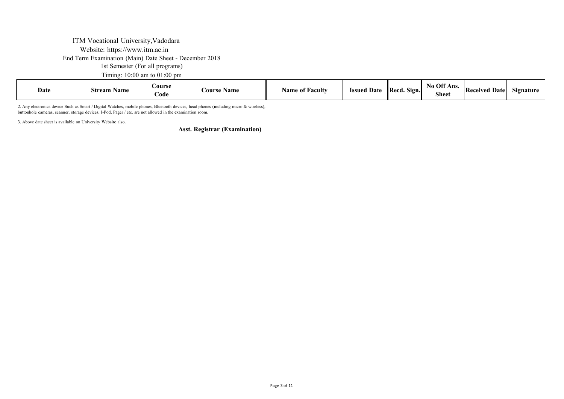## ITM Vocational University,Vadodara Website: https://www.itm.ac.in End Term Examination (Main) Date Sheet - December 2018 1st Semester (For all programs)

Timing: 10:00 am to 01:00 pm

| Off Ans.<br>$\bf No$<br>Course<br><b>Issued Date</b><br><b>Name of Faculty</b><br>Date<br><b>IRecd.</b><br>' Dater<br>Sign.<br>$\sim \cdot$<br>Received<br><b>Course Name</b><br>Stream Name<br>Signature<br>$\sim$<br>Code<br>энее. |
|--------------------------------------------------------------------------------------------------------------------------------------------------------------------------------------------------------------------------------------|
|--------------------------------------------------------------------------------------------------------------------------------------------------------------------------------------------------------------------------------------|

2. Any electronics device Such as Smart / Digital Watches, mobile phones, Bluetooth devices, head phones (including micro & wireless), buttonhole cameras, scanner, storage devices, I-Pod, Pager / etc. are not allowed in the examination room.

3. Above date sheet is available on University Website also.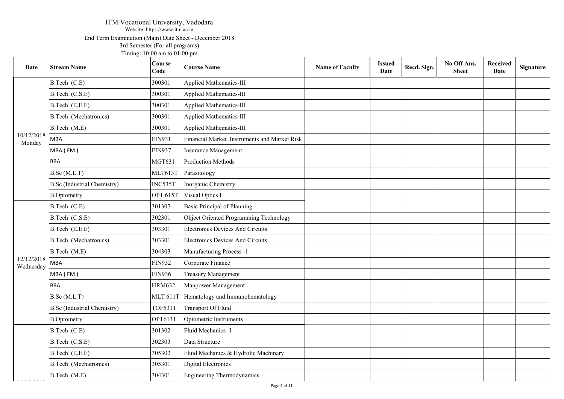### ITM Vocational University, Vadodara Website: https://www.itm.ac.in End Term Examination (Main) Date Sheet - December 2018 3rd Semester (For all programs) Timing: 10:00 am to 01:00 pm

| Date                    | <b>Stream Name</b>                 | Course<br>Code  | <b>Course Name</b>                             | <b>Name of Faculty</b> | <b>Issued</b><br>Date | Recd. Sign. | No Off Ans.<br><b>Sheet</b> | Received<br><b>Date</b> | Signature |
|-------------------------|------------------------------------|-----------------|------------------------------------------------|------------------------|-----------------------|-------------|-----------------------------|-------------------------|-----------|
|                         | B.Tech (C.E)                       | 300301          | Applied Mathematics-III                        |                        |                       |             |                             |                         |           |
|                         | B.Tech (C.S.E)                     | 300301          | Applied Mathematics-III                        |                        |                       |             |                             |                         |           |
|                         | B.Tech (E.E.E)                     | 300301          | Applied Mathematics-III                        |                        |                       |             |                             |                         |           |
|                         | <b>B.Tech</b> (Mechatronics)       | 300301          | Applied Mathematics-III                        |                        |                       |             |                             |                         |           |
|                         | B.Tech (M.E)                       | 300301          | <b>Applied Mathematics-III</b>                 |                        |                       |             |                             |                         |           |
| 10/12/2018<br>Monday    | <b>MBA</b>                         | <b>FIN931</b>   | Financial Market , Instruments and Market Risk |                        |                       |             |                             |                         |           |
|                         | MBA (FM)                           | <b>FIN937</b>   | Insurance Management                           |                        |                       |             |                             |                         |           |
|                         | <b>BBA</b>                         | MGT631          | Production Methods                             |                        |                       |             |                             |                         |           |
|                         | B.Sc (M.L.T)                       | <b>MLT613T</b>  | Parasitology                                   |                        |                       |             |                             |                         |           |
|                         | <b>B.Sc</b> (Industrial Chemistry) | INC535T         | Inorganic Chemistry                            |                        |                       |             |                             |                         |           |
|                         | <b>B.Optometry</b>                 | <b>OPT 615T</b> | Visual Optics I                                |                        |                       |             |                             |                         |           |
|                         | B.Tech (C.E)                       | 301307          | <b>Basic Principal of Planning</b>             |                        |                       |             |                             |                         |           |
|                         | B.Tech (C.S.E)                     | 302301          | Object Oriented Programming Technology         |                        |                       |             |                             |                         |           |
|                         | B.Tech (E.E.E)                     | 303301          | <b>Electronics Devices And Circuits</b>        |                        |                       |             |                             |                         |           |
|                         | <b>B.Tech</b> (Mechatronics)       | 303301          | Electronics Devices And Circuits               |                        |                       |             |                             |                         |           |
|                         | B.Tech (M.E)                       | 304303          | Manufacturing Process -1                       |                        |                       |             |                             |                         |           |
| 12/12/2018<br>Wednesday | MBA                                | <b>FIN932</b>   | Corporate Finance                              |                        |                       |             |                             |                         |           |
|                         | MBA (FM)                           | <b>FIN936</b>   | <b>Treasury Management</b>                     |                        |                       |             |                             |                         |           |
|                         | <b>BBA</b>                         | <b>HRM632</b>   | Manpower Management                            |                        |                       |             |                             |                         |           |
|                         | B.Sc (M.L.T)                       | MLT 611T        | Hematology and Immunohematology                |                        |                       |             |                             |                         |           |
|                         | <b>B.Sc</b> (Industrial Chemistry) | <b>TOF531T</b>  | Transport Of Fluid                             |                        |                       |             |                             |                         |           |
|                         | <b>B.Optometry</b>                 | OPT613T         | Optometric Instruments                         |                        |                       |             |                             |                         |           |
|                         | B.Tech (C.E)                       | 301302          | Fluid Mechanics -I                             |                        |                       |             |                             |                         |           |
|                         | B.Tech (C.S.E)                     | 302303          | Data Structure                                 |                        |                       |             |                             |                         |           |
|                         | B.Tech (E.E.E)                     | 305302          | Fluid Mechanics & Hydrolic Machinary           |                        |                       |             |                             |                         |           |
|                         | <b>B.Tech</b> (Mechatronics)       | 305301          | Digital Electronics                            |                        |                       |             |                             |                         |           |
|                         | B.Tech (M.E)                       | 304301          | <b>Engineering Thermodynamics</b>              |                        |                       |             |                             |                         |           |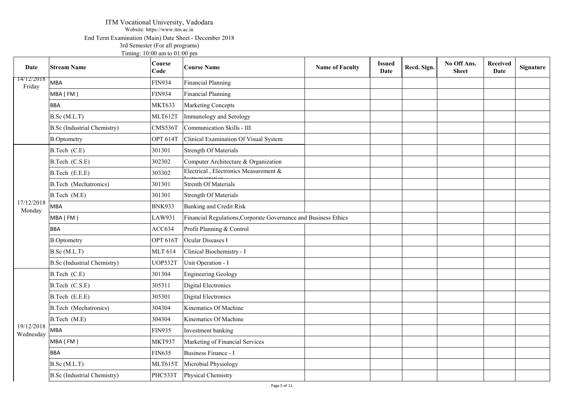### ITM Vocational University, Vadodara Website: https://www.itm.ac.in End Term Examination (Main) Date Sheet - December 2018 3rd Semester (For all programs) Timing: 10:00 am to 01:00 pm

| Date                    | <b>Stream Name</b>                 | Course<br>Code  | <b>Course Name</b>                                              | <b>Name of Faculty</b> | <b>Issued</b><br>Date | Recd. Sign. | No Off Ans.<br><b>Sheet</b> | Received<br>Date | Signature |
|-------------------------|------------------------------------|-----------------|-----------------------------------------------------------------|------------------------|-----------------------|-------------|-----------------------------|------------------|-----------|
| 14/12/2018<br>Friday    | MBA                                | <b>FIN934</b>   | <b>Financial Planning</b>                                       |                        |                       |             |                             |                  |           |
|                         | MBA (FM)                           | <b>FIN934</b>   | Financial Planning                                              |                        |                       |             |                             |                  |           |
|                         | <b>BBA</b>                         | <b>MKT633</b>   | Marketing Concepts                                              |                        |                       |             |                             |                  |           |
|                         | B.Sc (M.L.T)                       | MLT612T         | Immunology and Serology                                         |                        |                       |             |                             |                  |           |
|                         | <b>B.Sc</b> (Industrial Chemistry) | CMS536T         | Communication Skills - III                                      |                        |                       |             |                             |                  |           |
|                         | <b>B.Optometry</b>                 | <b>OPT 614T</b> | Clinical Examination Of Visual System                           |                        |                       |             |                             |                  |           |
|                         | B.Tech (C.E)                       | 301301          | <b>Strength Of Materials</b>                                    |                        |                       |             |                             |                  |           |
|                         | B.Tech (C.S.E)                     | 302302          | Computer Architecture & Organization                            |                        |                       |             |                             |                  |           |
|                         | B.Tech (E.E.E)                     | 303302          | Electrical, Electronics Measurement &                           |                        |                       |             |                             |                  |           |
|                         | <b>B.Tech</b> (Mechatronics)       | 301301          | <b>Strenth Of Materials</b>                                     |                        |                       |             |                             |                  |           |
|                         | B.Tech (M.E)                       | 301301          | <b>Strength Of Materials</b>                                    |                        |                       |             |                             |                  |           |
| 17/12/2018<br>Monday    | <b>MBA</b>                         | <b>BNK933</b>   | <b>Banking and Credit Risk</b>                                  |                        |                       |             |                             |                  |           |
|                         | MBA (FM)                           | LAW931          | Financial Regulations, Corporate Governance and Business Ethics |                        |                       |             |                             |                  |           |
|                         | <b>BBA</b>                         | ACC634          | Profit Planning & Control                                       |                        |                       |             |                             |                  |           |
|                         | <b>B.Optometry</b>                 | <b>OPT 616T</b> | Ocular Diseases I                                               |                        |                       |             |                             |                  |           |
|                         | B.Sc(M.L.T)                        | <b>MLT 614</b>  | Clinical Biochemistry - I                                       |                        |                       |             |                             |                  |           |
|                         | <b>B.Sc</b> (Industrial Chemistry) | UOP532T         | Unit Operation - I                                              |                        |                       |             |                             |                  |           |
|                         | B.Tech (C.E)                       | 301304          | <b>Engineering Geology</b>                                      |                        |                       |             |                             |                  |           |
|                         | B.Tech (C.S.E)                     | 305311          | Digital Electronics                                             |                        |                       |             |                             |                  |           |
|                         | B.Tech (E.E.E)                     | 305301          | <b>Digital Electronics</b>                                      |                        |                       |             |                             |                  |           |
|                         | <b>B.Tech</b> (Mechatronics)       | 304304          | Kinematics Of Machine                                           |                        |                       |             |                             |                  |           |
|                         | B.Tech (M.E)                       | 304304          | Kinematics Of Machine                                           |                        |                       |             |                             |                  |           |
| 19/12/2018<br>Wednesday | <b>MBA</b>                         | <b>FIN935</b>   | Investment banking                                              |                        |                       |             |                             |                  |           |
|                         | MBA (FM)                           | <b>MKT937</b>   | Marketing of Financial Services                                 |                        |                       |             |                             |                  |           |
|                         | <b>BBA</b>                         | <b>FIN635</b>   | Business Finance - I                                            |                        |                       |             |                             |                  |           |
|                         | B.Sc (M.L.T)                       | <b>MLT615T</b>  | Microbial Physiology                                            |                        |                       |             |                             |                  |           |
|                         | <b>B.Sc</b> (Industrial Chemistry) | PHC533T         | Physical Chemistry                                              |                        |                       |             |                             |                  |           |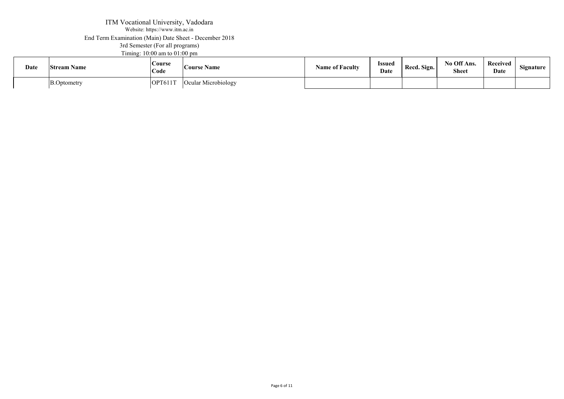#### ITM Vocational University, Vadodara Website: https://www.itm.ac.in End Term Examination (Main) Date Sheet - December 2018 3rd Semester (For all programs) Timing: 10:00 am to 01:00 pm 19/12/2018 TTM Vocationa Website: https://website.org/

| Date | <b>Stream Name</b> | <b>Course</b><br>Code | <b>Course Name</b>  | <b>Name of Faculty</b> | Issued<br>Date | Recd. Sign. | No Off Ans.<br><b>Sheet</b> | Received<br>Date | Signature |  |
|------|--------------------|-----------------------|---------------------|------------------------|----------------|-------------|-----------------------------|------------------|-----------|--|
|      | B.Optometry        | OPT611T               | Ocular Microbiology |                        |                |             |                             |                  |           |  |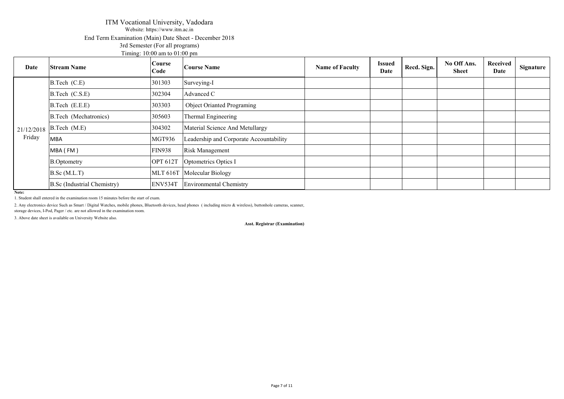### ITM Vocational University, Vadodara Website: https://www.itm.ac.in End Term Examination (Main) Date Sheet - December 2018 3rd Semester (For all programs) Timing: 10:00 am to 01:00 pm

| Date       | <b>Stream Name</b>          | <b>Course</b><br>Code | <b>Course Name</b>                      | <b>Name of Faculty</b> | <b>Issued</b><br>Date | Recd. Sign. | No Off Ans.<br><b>Sheet</b> | Received<br>Date | Signature |
|------------|-----------------------------|-----------------------|-----------------------------------------|------------------------|-----------------------|-------------|-----------------------------|------------------|-----------|
|            | B.Tech (C.E)                | 301303                | Surveying-I                             |                        |                       |             |                             |                  |           |
|            | B.Tech (C.S.E)              | 302304                | Advanced C                              |                        |                       |             |                             |                  |           |
|            | B.Tech (E.E.E)              | 303303                | Object Orianted Programing              |                        |                       |             |                             |                  |           |
|            | B.Tech (Mechatronics)       | 305603                | Thermal Engineering                     |                        |                       |             |                             |                  |           |
| 21/12/2018 | B.Tech (M.E)                | 304302                | Material Science And Metullargy         |                        |                       |             |                             |                  |           |
| Friday     | MBA                         | MGT936                | Leadership and Corporate Accountability |                        |                       |             |                             |                  |           |
|            | MBA (FM)                    | <b>FIN938</b>         | <b>Risk Management</b>                  |                        |                       |             |                             |                  |           |
|            | <b>B.Optometry</b>          | <b>OPT 612T</b>       | Optometrics Optics I                    |                        |                       |             |                             |                  |           |
|            | B.Sc(M.L.T)                 |                       | MLT 616T Molecular Biology              |                        |                       |             |                             |                  |           |
|            | B.Sc (Industrial Chemistry) | ENV534T               | <b>Environmental Chemistry</b>          |                        |                       |             |                             |                  |           |

**Note:**

1. Student shall entered in the examination room 15 minutes before the start of exam.

2. Any electronics device Such as Smart / Digital Watches, mobile phones, Bluetooth devices, head phones (including micro & wireless), buttonhole cameras, scanner, storage devices, I-Pod, Pager / etc. are not allowed in the examination room.

3. Above date sheet is available on University Website also.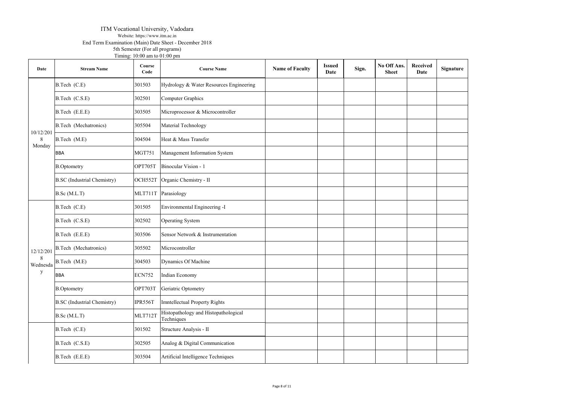#### ITM Vocational University, Vadodara Website: https://www.itm.ac.in

End Term Examination (Main) Date Sheet - December 2018

5th Semester (For all programs) Timing:  $10:00$  am to  $01:00$  pm

| Date        | <b>Stream Name</b>                 | Course<br>Code | <b>Course Name</b>                                 | <b>Name of Faculty</b> | <b>Issued</b><br>Date | Sign. | No Off Ans.<br><b>Sheet</b> | Received<br>Date | Signature |
|-------------|------------------------------------|----------------|----------------------------------------------------|------------------------|-----------------------|-------|-----------------------------|------------------|-----------|
|             | B.Tech (C.E)                       | 301503         | Hydrology & Water Resources Engineering            |                        |                       |       |                             |                  |           |
|             | B.Tech (C.S.E)                     | 302501         | Computer Graphics                                  |                        |                       |       |                             |                  |           |
|             | B.Tech (E.E.E)                     | 303505         | Microprocessor & Microcontroller                   |                        |                       |       |                             |                  |           |
| 10/12/201   | <b>B.Tech</b> (Mechatronics)       | 305504         | Material Technology                                |                        |                       |       |                             |                  |           |
| 8<br>Monday | B.Tech (M.E)                       | 304504         | Heat & Mass Transfer                               |                        |                       |       |                             |                  |           |
|             | <b>BBA</b>                         | <b>MGT751</b>  | Management Information System                      |                        |                       |       |                             |                  |           |
|             | <b>B.Optometry</b>                 | OPT705T        | Binocular Vision - 1                               |                        |                       |       |                             |                  |           |
|             | <b>B.SC</b> (Industrial Chemistry) | OCH552T        | Organic Chemistry - II                             |                        |                       |       |                             |                  |           |
|             | B.Sc (M.L.T)                       | MLT711T        | Parasiology                                        |                        |                       |       |                             |                  |           |
|             | B.Tech (C.E)                       | 301505         | Environmental Engineering -I                       |                        |                       |       |                             |                  |           |
|             | B.Tech (C.S.E)                     | 302502         | Operating System                                   |                        |                       |       |                             |                  |           |
|             | B.Tech (E.E.E)                     | 303506         | Sensor Network & Instrumentation                   |                        |                       |       |                             |                  |           |
| 12/12/201   | <b>B.Tech</b> (Mechatronics)       | 305502         | Microcontroller                                    |                        |                       |       |                             |                  |           |
|             | Wednesda B.Tech $(M.E)$            | 304503         | Dynamics Of Machine                                |                        |                       |       |                             |                  |           |
| y           | <b>BBA</b>                         | <b>ECN752</b>  | Indian Economy                                     |                        |                       |       |                             |                  |           |
|             | <b>B.Optometry</b>                 | OPT703T        | Geriatric Optometry                                |                        |                       |       |                             |                  |           |
|             | <b>B.SC</b> (Industrial Chemistry) | IPR556T        | Imntellectual Property Rights                      |                        |                       |       |                             |                  |           |
|             | B.Sc (M.L.T)                       | <b>MLT712T</b> | Histopathology and Histopathological<br>Techniques |                        |                       |       |                             |                  |           |
|             | B.Tech (C.E)                       | 301502         | Structure Analysis - II                            |                        |                       |       |                             |                  |           |
|             | B.Tech (C.S.E)                     | 302505         | Analog & Digital Communication                     |                        |                       |       |                             |                  |           |
|             | B.Tech (E.E.E)                     | 303504         | Artificial Intelligence Techniques                 |                        |                       |       |                             |                  |           |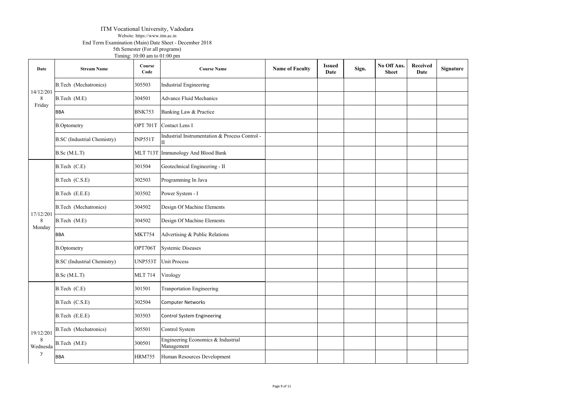#### ITM Vocational University, Vadodara Website: https://www.itm.ac.in

End Term Examination (Main) Date Sheet - December 2018

5th Semester (For all programs)

|                |                                    | Timing: 10:00 am to 01:00 pm |                                                  |                        |                       |       |                             |                         |           |
|----------------|------------------------------------|------------------------------|--------------------------------------------------|------------------------|-----------------------|-------|-----------------------------|-------------------------|-----------|
| Date           | <b>Stream Name</b>                 | Course<br>Code               | <b>Course Name</b>                               | <b>Name of Faculty</b> | <b>Issued</b><br>Date | Sign. | No Off Ans.<br><b>Sheet</b> | <b>Received</b><br>Date | Signature |
|                | <b>B.Tech</b> (Mechatronics)       | 305503                       | <b>Industrial Engineering</b>                    |                        |                       |       |                             |                         |           |
| 14/12/201<br>8 | B.Tech (M.E)                       | 304501                       | <b>Advance Fluid Mechanics</b>                   |                        |                       |       |                             |                         |           |
| Friday         | <b>BBA</b>                         | <b>BNK753</b>                | Banking Law & Practice                           |                        |                       |       |                             |                         |           |
|                | <b>B.Optometry</b>                 | OPT 701T                     | Contact Lens I                                   |                        |                       |       |                             |                         |           |
|                | <b>B.SC</b> (Industrial Chemistry) | INP551T                      | Industrial Instrumentation & Process Control -   |                        |                       |       |                             |                         |           |
|                | B.Sc (M.L.T)                       | <b>MLT 713T</b>              | Immunology And Blood Bank                        |                        |                       |       |                             |                         |           |
|                | B.Tech (C.E)                       | 301504                       | Geotechnical Engineering - II                    |                        |                       |       |                             |                         |           |
|                | B.Tech (C.S.E)                     | 302503                       | Programming In Java                              |                        |                       |       |                             |                         |           |
|                | B.Tech (E.E.E)                     | 303502                       | Power System - I                                 |                        |                       |       |                             |                         |           |
|                | <b>B.Tech</b> (Mechatronics)       | 304502                       | Design Of Machine Elements                       |                        |                       |       |                             |                         |           |
| 17/12/201<br>8 | B.Tech (M.E)                       | 304502                       | Design Of Machine Elements                       |                        |                       |       |                             |                         |           |
| Monday         | <b>BBA</b>                         | <b>MKT754</b>                | Advertising & Public Relations                   |                        |                       |       |                             |                         |           |
|                | <b>B.Optometry</b>                 | OPT706T                      | <b>Systemic Diseases</b>                         |                        |                       |       |                             |                         |           |
|                | <b>B.SC</b> (Industrial Chemistry) | <b>UNP553T</b>               | <b>Unit Process</b>                              |                        |                       |       |                             |                         |           |
|                | B.Sc (M.L.T)                       | <b>MLT 714</b>               | Virology                                         |                        |                       |       |                             |                         |           |
|                | B.Tech (C.E)                       | 301501                       | <b>Tranportation Engineering</b>                 |                        |                       |       |                             |                         |           |
|                | B.Tech (C.S.E)                     | 302504                       | <b>Computer Networks</b>                         |                        |                       |       |                             |                         |           |
|                | B.Tech (E.E.E)                     | 303503                       | Control System Engineering                       |                        |                       |       |                             |                         |           |
| 19/12/201      | <b>B.Tech</b> (Mechatronics)       | 305501                       | Control System                                   |                        |                       |       |                             |                         |           |
| -8<br>Wednesda | B.Tech (M.E)                       | 300501                       | Engineering Economics & Industrial<br>Management |                        |                       |       |                             |                         |           |
| y              | <b>BBA</b>                         | <b>HRM755</b>                | Human Resources Development                      |                        |                       |       |                             |                         |           |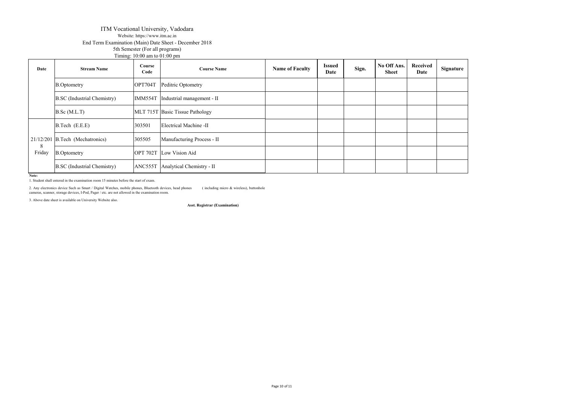#### ITM Vocational University, Vadodara Website: https://www.itm.ac.in End Term Examination (Main) Date Sheet - December 2018 5th Semester (For all programs)

|             |                                    | 5th Semester (For all programs)                    |                                 |                        |                       |       |                      |                  |           |
|-------------|------------------------------------|----------------------------------------------------|---------------------------------|------------------------|-----------------------|-------|----------------------|------------------|-----------|
| Date        | <b>Stream Name</b>                 | Timing: $10:00$ am to $01:00$ pm<br>Course<br>Code | <b>Course Name</b>              | <b>Name of Faculty</b> | <b>Issued</b><br>Date | Sign. | No Off Ans.<br>Sheet | Received<br>Date | Signature |
|             | <b>B.Optometry</b>                 | OPT704T                                            | Peditric Optometry              |                        |                       |       |                      |                  |           |
|             | <b>B.SC</b> (Industrial Chemistry) | IMM554T                                            | Industrial management - II      |                        |                       |       |                      |                  |           |
|             | B.Sc(M.L.T)                        |                                                    | MLT 715T Basic Tissue Pathology |                        |                       |       |                      |                  |           |
|             | B.Tech (E.E.E)                     | 303501                                             | Electrical Machine -II          |                        |                       |       |                      |                  |           |
|             | $21/12/201$ B.Tech (Mechatronics)  | 305505                                             | Manufacturing Process - II      |                        |                       |       |                      |                  |           |
| 8<br>Friday | <b>B.Optometry</b>                 |                                                    | <b>OPT 702T</b> Low Vision Aid  |                        |                       |       |                      |                  |           |
|             | <b>B.SC</b> (Industrial Chemistry) | ANC555T                                            | Analytical Chemistry - II       |                        |                       |       |                      |                  |           |

**Note:** 1. Student shall entered in the examination room 15 minutes before the start of exam.

2. Any electronics device Such as Smart / Digital Watches, mobile phones, Bluetooth devices, head phones (including micro & wireless), buttonhole camer, storage devices, I-Pod, Pager / etc. are not allowed in the examinati

3. Above date sheet is available on University Website also.